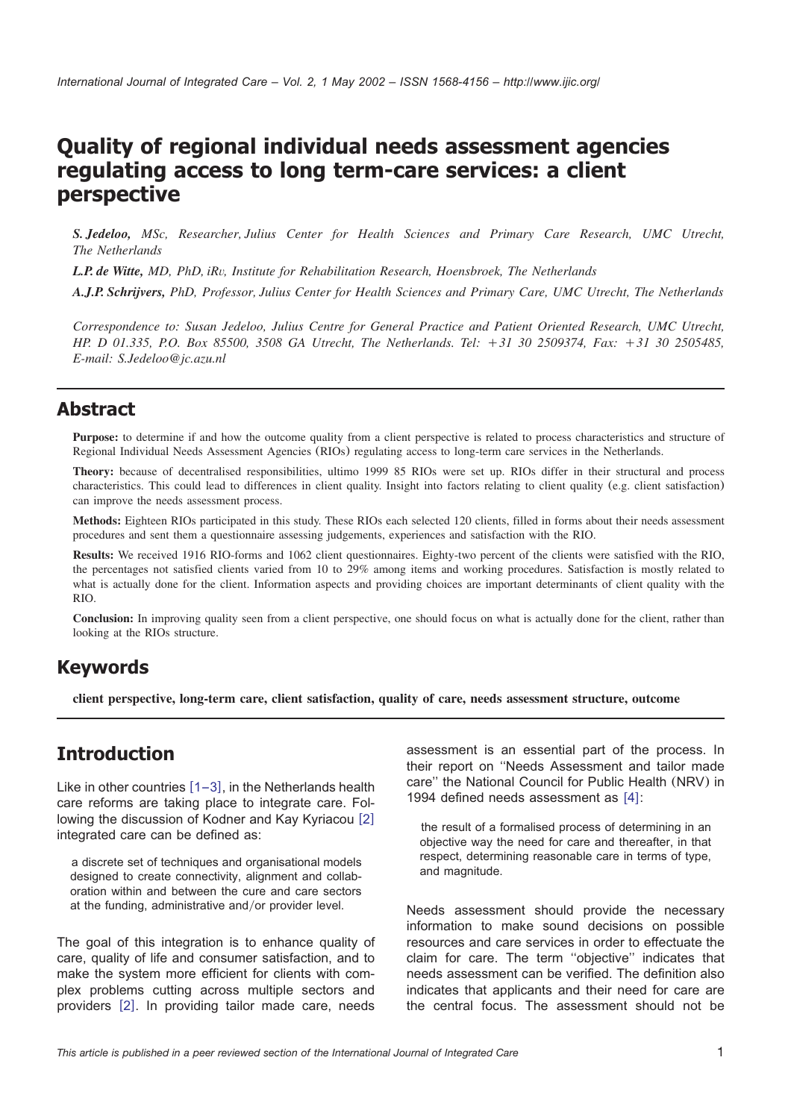# **Quality of regional individual needs assessment agencies regulating access to long term-care services: a client perspective**

*S. Jedeloo, MSc, Researcher, Julius Center for Health Sciences and Primary Care Research, UMC Utrecht, The Netherlands*

*L.P. de Witte, MD, PhD, iRv, Institute for Rehabilitation Research, Hoensbroek, The Netherlands*

*A.J.P. Schrijvers, PhD, Professor, Julius Center for Health Sciences and Primary Care, UMC Utrecht, The Netherlands*

*Correspondence to: Susan Jedeloo, Julius Centre for General Practice and Patient Oriented Research, UMC Utrecht, HP. D 01.335, P.O. Box 85500, 3508 GA Utrecht, The Netherlands. Tel:* q*31 30 2509374, Fax:* q*31 30 2505485, E-mail: S.Jedeloo@jc.azu.nl*

#### **Abstract**

Purpose: to determine if and how the outcome quality from a client perspective is related to process characteristics and structure of Regional Individual Needs Assessment Agencies (RIOs) regulating access to long-term care services in the Netherlands.

**Theory:** because of decentralised responsibilities, ultimo 1999 85 RIOs were set up. RIOs differ in their structural and process characteristics. This could lead to differences in client quality. Insight into factors relating to client quality (e.g. client satisfaction) can improve the needs assessment process.

**Methods:** Eighteen RIOs participated in this study. These RIOs each selected 120 clients, filled in forms about their needs assessment procedures and sent them a questionnaire assessing judgements, experiences and satisfaction with the RIO.

**Results:** We received 1916 RIO-forms and 1062 client questionnaires. Eighty-two percent of the clients were satisfied with the RIO, the percentages not satisfied clients varied from 10 to 29% among items and working procedures. Satisfaction is mostly related to what is actually done for the client. Information aspects and providing choices are important determinants of client quality with the RIO.

**Conclusion:** In improving quality seen from a client perspective, one should focus on what is actually done for the client, rather than looking at the RIOs structure.

### **Keywords**

**client perspective, long-term care, client satisfaction, quality of care, needs assessment structure, outcome**

### **Introduction**

Like in other countries  $[1-3]$  $[1-3]$  $[1-3]$ , in the Netherlands health care reforms are taking place to integrate care. Fol-lowing the discussion of Kodner and Kay Kyriacou [[2](#page-13-0)] integrated care can be defined as:

a discrete set of techniques and organisational models designed to create connectivity, alignment and collaboration within and between the cure and care sectors at the funding, administrative and/or provider level.

The goal of this integration is to enhance quality of care, quality of life and consumer satisfaction, and to make the system more efficient for clients with complex problems cutting across multiple sectors and providers [[2](#page-13-0)]. In providing tailor made care, needs assessment is an essential part of the process. In their report on ''Needs Assessment and tailor made care'' the National Council for Public Health (NRV) in 199[4](#page-13-0) defined needs assessment as  $[4]$ :

the result of a formalised process of determining in an objective way the need for care and thereafter, in that respect, determining reasonable care in terms of type, and magnitude.

Needs assessment should provide the necessary information to make sound decisions on possible resources and care services in order to effectuate the claim for care. The term ''objective'' indicates that needs assessment can be verified. The definition also indicates that applicants and their need for care are the central focus. The assessment should not be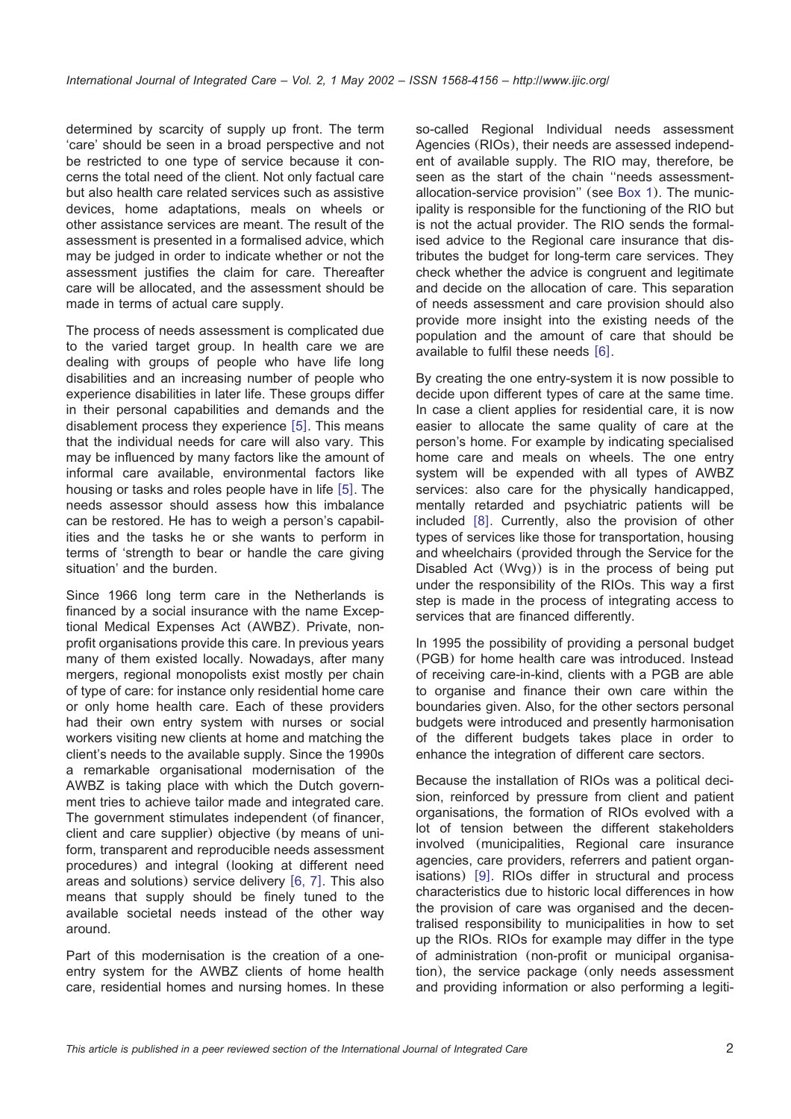determined by scarcity of supply up front. The term 'care' should be seen in a broad perspective and not be restricted to one type of service because it concerns the total need of the client. Not only factual care but also health care related services such as assistive devices, home adaptations, meals on wheels or other assistance services are meant. The result of the assessment is presented in a formalised advice, which may be judged in order to indicate whether or not the assessment justifies the claim for care. Thereafter care will be allocated, and the assessment should be made in terms of actual care supply.

The process of needs assessment is complicated due to the varied target group. In health care we are dealing with groups of people who have life long disabilities and an increasing number of people who experience disabilities in later life. These groups differ in their personal capabilities and demands and the disablement process they experience  $[5]$  $[5]$  $[5]$ . This means that the individual needs for care will also vary. This may be influenced by many factors like the amount of informal care available, environmental factors like housing or tasks and roles people have in life  $[5]$  $[5]$  $[5]$ . The needs assessor should assess how this imbalance can be restored. He has to weigh a person's capabilities and the tasks he or she wants to perform in terms of 'strength to bear or handle the care giving situation' and the burden.

Since 1966 long term care in the Netherlands is financed by a social insurance with the name Exceptional Medical Expenses Act (AWBZ). Private, nonprofit organisations provide this care. In previous years many of them existed locally. Nowadays, after many mergers, regional monopolists exist mostly per chain of type of care: for instance only residential home care or only home health care. Each of these providers had their own entry system with nurses or social workers visiting new clients at home and matching the client's needs to the available supply. Since the 1990s a remarkable organisational modernisation of the AWBZ is taking place with which the Dutch government tries to achieve tailor made and integrated care. The government stimulates independent (of financer, client and care supplier) objective (by means of uniform, transparent and reproducible needs assessment procedures) and integral (looking at different need areas and solutions) service delivery  $[6, 7]$  $[6, 7]$  $[6, 7]$ . This also means that supply should be finely tuned to the available societal needs instead of the other way around.

Part of this modernisation is the creation of a oneentry system for the AWBZ clients of home health care, residential homes and nursing homes. In these so-called Regional Individual needs assessment Agencies (RIOs), their needs are assessed independent of available supply. The RIO may, therefore, be seen as the start of the chain ''needs assessmentallocation-service provision'' (see [Box 1](#page-2-0)). The municipality is responsible for the functioning of the RIO but is not the actual provider. The RIO sends the formalised advice to the Regional care insurance that distributes the budget for long-term care services. They check whether the advice is congruent and legitimate and decide on the allocation of care. This separation of needs assessment and care provision should also provide more insight into the existing needs of the population and the amount of care that should be available to fulfil these needs  $[6]$  $[6]$  $[6]$ .

By creating the one entry-system it is now possible to decide upon different types of care at the same time. In case a client applies for residential care, it is now easier to allocate the same quality of care at the person's home. For example by indicating specialised home care and meals on wheels. The one entry system will be expended with all types of AWBZ services: also care for the physically handicapped, mentally retarded and psychiatric patients will be included  $[8]$  $[8]$  $[8]$ . Currently, also the provision of other types of services like those for transportation, housing and wheelchairs (provided through the Service for the Disabled Act (Wvg)) is in the process of being put under the responsibility of the RIOs. This way a first step is made in the process of integrating access to services that are financed differently.

In 1995 the possibility of providing a personal budget (PGB) for home health care was introduced. Instead of receiving care-in-kind, clients with a PGB are able to organise and finance their own care within the boundaries given. Also, for the other sectors personal budgets were introduced and presently harmonisation of the different budgets takes place in order to enhance the integration of different care sectors.

Because the installation of RIOs was a political decision, reinforced by pressure from client and patient organisations, the formation of RIOs evolved with a lot of tension between the different stakeholders involved (municipalities, Regional care insurance agencies, care providers, referrers and patient organisations)  $[9]$  $[9]$  $[9]$ . RIOs differ in structural and process characteristics due to historic local differences in how the provision of care was organised and the decentralised responsibility to municipalities in how to set up the RIOs. RIOs for example may differ in the type of administration (non-profit or municipal organisation), the service package (only needs assessment and providing information or also performing a legiti-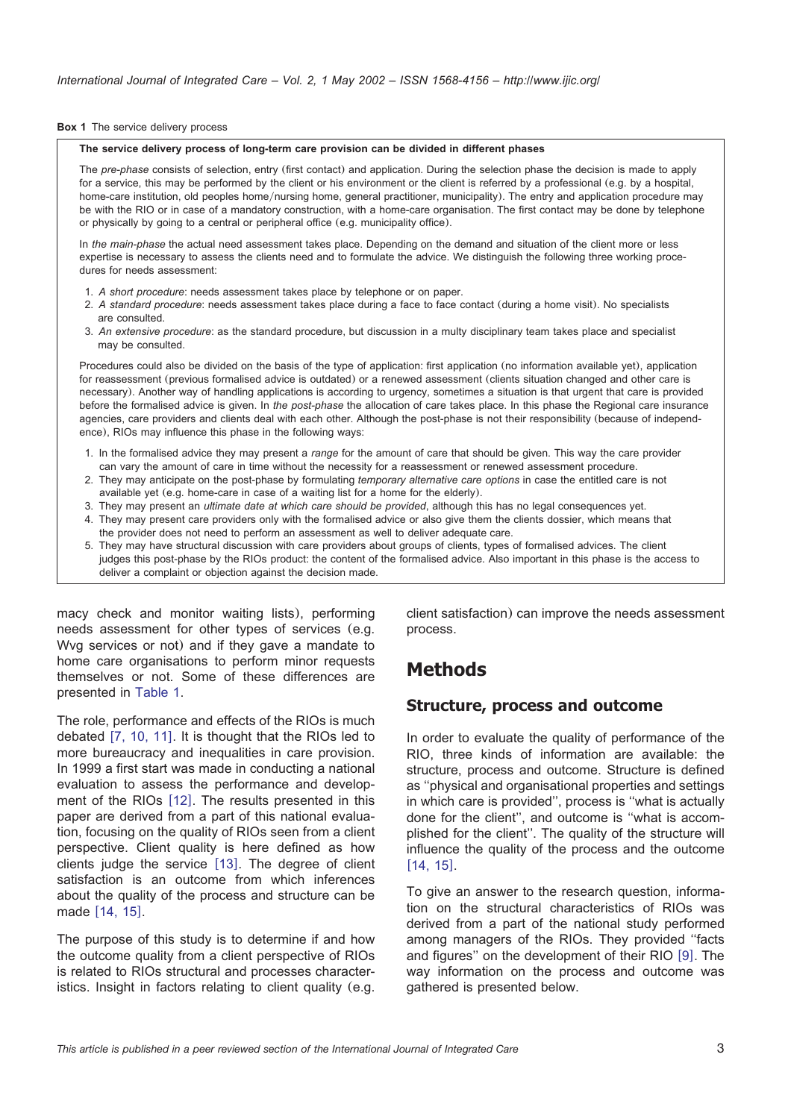#### <span id="page-2-0"></span>**Box 1** The service delivery process

#### **The service delivery process of long-term care provision can be divided in different phases**

The *pre-phase* consists of selection, entry (first contact) and application. During the selection phase the decision is made to apply for a service, this may be performed by the client or his environment or the client is referred by a professional (e.g. by a hospital, home-care institution, old peoples home/nursing home, general practitioner, municipality). The entry and application procedure may be with the RIO or in case of a mandatory construction, with a home-care organisation. The first contact may be done by telephone or physically by going to a central or peripheral office (e.g. municipality office).

In *the main-phase* the actual need assessment takes place. Depending on the demand and situation of the client more or less expertise is necessary to assess the clients need and to formulate the advice. We distinguish the following three working procedures for needs assessment:

- 1. *A short procedure*: needs assessment takes place by telephone or on paper.
- 2. *A standard procedure*: needs assessment takes place during a face to face contact (during a home visit). No specialists are consulted.
- 3. *An extensive procedure*: as the standard procedure, but discussion in a multy disciplinary team takes place and specialist may be consulted.

Procedures could also be divided on the basis of the type of application: first application (no information available yet), application for reassessment (previous formalised advice is outdated) or a renewed assessment (clients situation changed and other care is necessary). Another way of handling applications is according to urgency, sometimes a situation is that urgent that care is provided before the formalised advice is given. In *the post-phase* the allocation of care takes place. In this phase the Regional care insurance agencies, care providers and clients deal with each other. Although the post-phase is not their responsibility (because of independence), RIOs may influence this phase in the following ways:

- 1. In the formalised advice they may present a *range* for the amount of care that should be given. This way the care provider can vary the amount of care in time without the necessity for a reassessment or renewed assessment procedure.
- 2. They may anticipate on the post-phase by formulating *temporary alternative care options* in case the entitled care is not available yet (e.g. home-care in case of a waiting list for a home for the elderly).
- 3. They may present an *ultimate date at which care should be provided*, although this has no legal consequences yet.
- 4. They may present care providers only with the formalised advice or also give them the clients dossier, which means that the provider does not need to perform an assessment as well to deliver adequate care.
- 5. They may have structural discussion with care providers about groups of clients, types of formalised advices. The client judges this post-phase by the RIOs product: the content of the formalised advice. Also important in this phase is the access to deliver a complaint or objection against the decision made.

macy check and monitor waiting lists), performing needs assessment for other types of services (e.g. Wvg services or not) and if they gave a mandate to home care organisations to perform minor requests themselves or not. Some of these differences are presented in [Table 1.](#page-3-0)

The role, performance and effects of the RIOs is much debated  $[7, 10, 11]$  $[7, 10, 11]$  $[7, 10, 11]$ . It is thought that the RIOs led to more bureaucracy and inequalities in care provision. In 1999 a first start was made in conducting a national evaluation to assess the performance and development of the RIOs  $[12]$  $[12]$  $[12]$ . The results presented in this paper are derived from a part of this national evaluation, focusing on the quality of RIOs seen from a client perspective. Client quality is here defined as how clients judge the service [[13](#page-13-0)]. The degree of client satisfaction is an outcome from which inferences about the quality of the process and structure can be made [[14, 15](#page-14-0)].

The purpose of this study is to determine if and how the outcome quality from a client perspective of RIOs is related to RIOs structural and processes characteristics. Insight in factors relating to client quality (e.g. client satisfaction) can improve the needs assessment process.

### **Methods**

#### **Structure, process and outcome**

In order to evaluate the quality of performance of the RIO, three kinds of information are available: the structure, process and outcome. Structure is defined as ''physical and organisational properties and settings in which care is provided'', process is ''what is actually done for the client'', and outcome is ''what is accomplished for the client''. The quality of the structure will influence the quality of the process and the outcome  $[14, 15]$  $[14, 15]$  $[14, 15]$ .

To give an answer to the research question, information on the structural characteristics of RIOs was derived from a part of the national study performed among managers of the RIOs. They provided ''facts and figures" on the development of their RIO  $[9]$  $[9]$  $[9]$ . The way information on the process and outcome was gathered is presented below.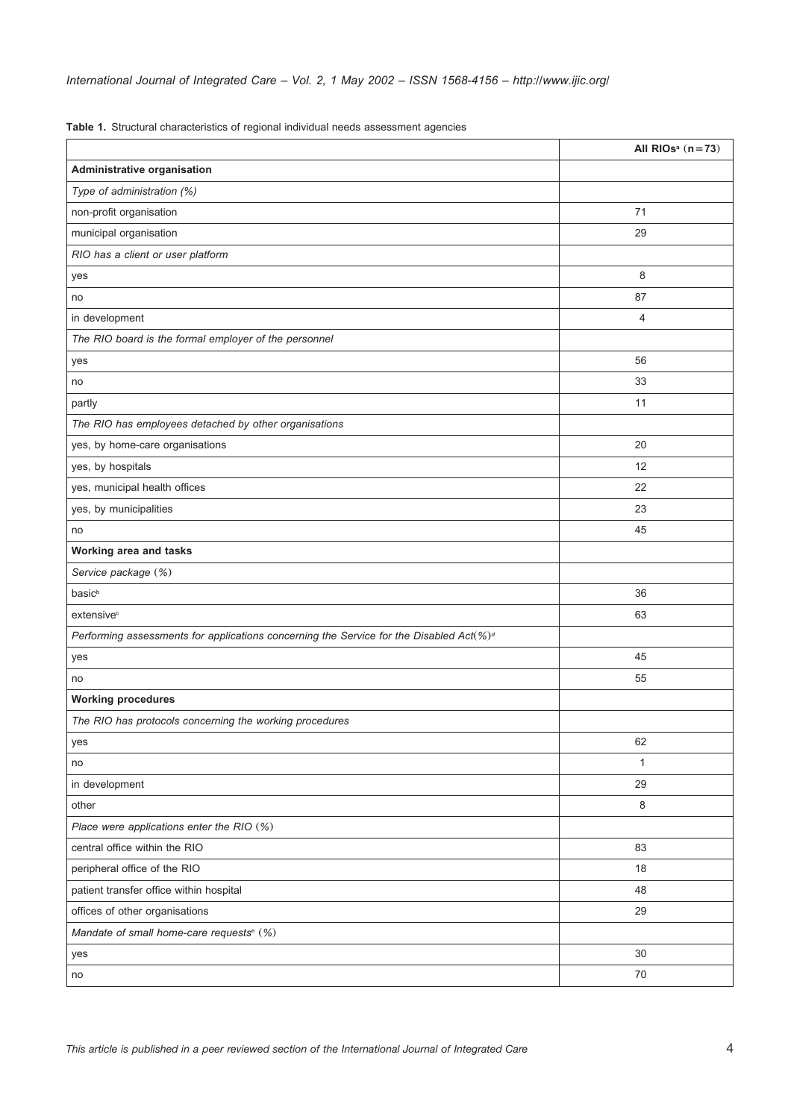<span id="page-3-0"></span>

|  |  | Table 1. Structural characteristics of regional individual needs assessment agencies |  |  |  |  |  |  |
|--|--|--------------------------------------------------------------------------------------|--|--|--|--|--|--|
|--|--|--------------------------------------------------------------------------------------|--|--|--|--|--|--|

|                                                                                         | All RIOs <sup>a</sup> $(n=73)$ |
|-----------------------------------------------------------------------------------------|--------------------------------|
| Administrative organisation                                                             |                                |
| Type of administration (%)                                                              |                                |
| non-profit organisation                                                                 | 71                             |
| municipal organisation                                                                  | 29                             |
| RIO has a client or user platform                                                       |                                |
| yes                                                                                     | 8                              |
| no                                                                                      | 87                             |
| in development                                                                          | 4                              |
| The RIO board is the formal employer of the personnel                                   |                                |
| yes                                                                                     | 56                             |
| no                                                                                      | 33                             |
| partly                                                                                  | 11                             |
| The RIO has employees detached by other organisations                                   |                                |
| yes, by home-care organisations                                                         | 20                             |
| yes, by hospitals                                                                       | 12                             |
| yes, municipal health offices                                                           | 22                             |
| yes, by municipalities                                                                  | 23                             |
| no                                                                                      | 45                             |
| Working area and tasks                                                                  |                                |
| Service package (%)                                                                     |                                |
| basic <sup>b</sup>                                                                      | 36                             |
| extensive <sup>c</sup>                                                                  | 63                             |
| Performing assessments for applications concerning the Service for the Disabled Act(%)d |                                |
| yes                                                                                     | 45                             |
| no                                                                                      | 55                             |
| <b>Working procedures</b>                                                               |                                |
| The RIO has protocols concerning the working procedures                                 |                                |
| yes                                                                                     | 62                             |
| no                                                                                      | 1                              |
| in development                                                                          | 29                             |
| other                                                                                   | $\,8\,$                        |
| Place were applications enter the RIO (%)                                               |                                |
| central office within the RIO                                                           | 83                             |
| peripheral office of the RIO                                                            | 18                             |
| patient transfer office within hospital                                                 | 48                             |
| offices of other organisations                                                          | 29                             |
| Mandate of small home-care requests <sup>e</sup> (%)                                    |                                |
| yes                                                                                     | 30                             |
| no                                                                                      | 70                             |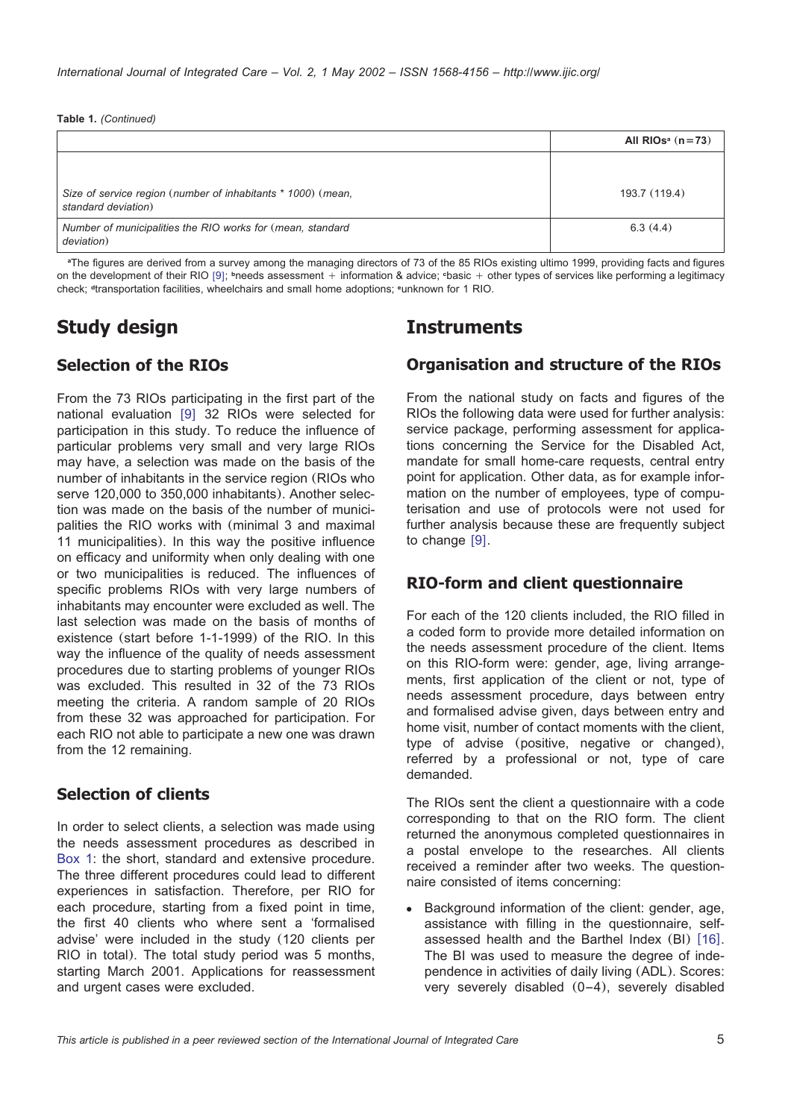|                                                                                     | All RIOs <sup>a</sup> $(n=73)$ |
|-------------------------------------------------------------------------------------|--------------------------------|
|                                                                                     |                                |
| Size of service region (number of inhabitants * 1000) (mean,<br>standard deviation) | 193.7 (119.4)                  |
| Number of municipalities the RIO works for (mean, standard<br>deviation)            | 6.3(4.4)                       |

**<sup>a</sup>**The figures are derived from a survey among the managing directors of 73 of the 85 RIOs existing ultimo 1999, providing facts and figures on the development of their RIO [[9](#page-13-0)]; **bneeds** assessment + information & advice; **basic + other types of services like performing a legitimacy** check; **<sup>d</sup>**transportation facilities, wheelchairs and small home adoptions; **<sup>e</sup>**unknown for 1 RIO.

# **Study design**

### **Selection of the RIOs**

From the 73 RIOs participating in the first part of the national evaluation  $[9]$  $[9]$  $[9]$  32 RIOs were selected for participation in this study. To reduce the influence of particular problems very small and very large RIOs may have, a selection was made on the basis of the number of inhabitants in the service region (RIOs who serve 120,000 to 350,000 inhabitants). Another selection was made on the basis of the number of municipalities the RIO works with (minimal 3 and maximal 11 municipalities). In this way the positive influence on efficacy and uniformity when only dealing with one or two municipalities is reduced. The influences of specific problems RIOs with very large numbers of inhabitants may encounter were excluded as well. The last selection was made on the basis of months of existence (start before 1-1-1999) of the RIO. In this way the influence of the quality of needs assessment procedures due to starting problems of younger RIOs was excluded. This resulted in 32 of the 73 RIOs meeting the criteria. A random sample of 20 RIOs from these 32 was approached for participation. For each RIO not able to participate a new one was drawn from the 12 remaining.

### **Selection of clients**

In order to select clients, a selection was made using the needs assessment procedures as described in [Box 1:](#page-2-0) the short, standard and extensive procedure. The three different procedures could lead to different experiences in satisfaction. Therefore, per RIO for each procedure, starting from a fixed point in time, the first 40 clients who where sent a 'formalised advise' were included in the study (120 clients per RIO in total). The total study period was 5 months, starting March 2001. Applications for reassessment and urgent cases were excluded.

## **Instruments**

### **Organisation and structure of the RIOs**

From the national study on facts and figures of the RIOs the following data were used for further analysis: service package, performing assessment for applications concerning the Service for the Disabled Act, mandate for small home-care requests, central entry point for application. Other data, as for example information on the number of employees, type of computerisation and use of protocols were not used for further analysis because these are frequently subject to change  $[9]$  $[9]$  $[9]$ .

### **RIO-form and client questionnaire**

For each of the 120 clients included, the RIO filled in a coded form to provide more detailed information on the needs assessment procedure of the client. Items on this RIO-form were: gender, age, living arrangements, first application of the client or not, type of needs assessment procedure, days between entry and formalised advise given, days between entry and home visit, number of contact moments with the client, type of advise (positive, negative or changed), referred by a professional or not, type of care demanded.

The RIOs sent the client a questionnaire with a code corresponding to that on the RIO form. The client returned the anonymous completed questionnaires in a postal envelope to the researches. All clients received a reminder after two weeks. The questionnaire consisted of items concerning:

Background information of the client: gender, age, assistance with filling in the questionnaire, selfassessed health and the Barthel Index  $(BI)$  [[16](#page-14-0)]. The BI was used to measure the degree of independence in activities of daily living (ADL). Scores: very severely disabled (0–4), severely disabled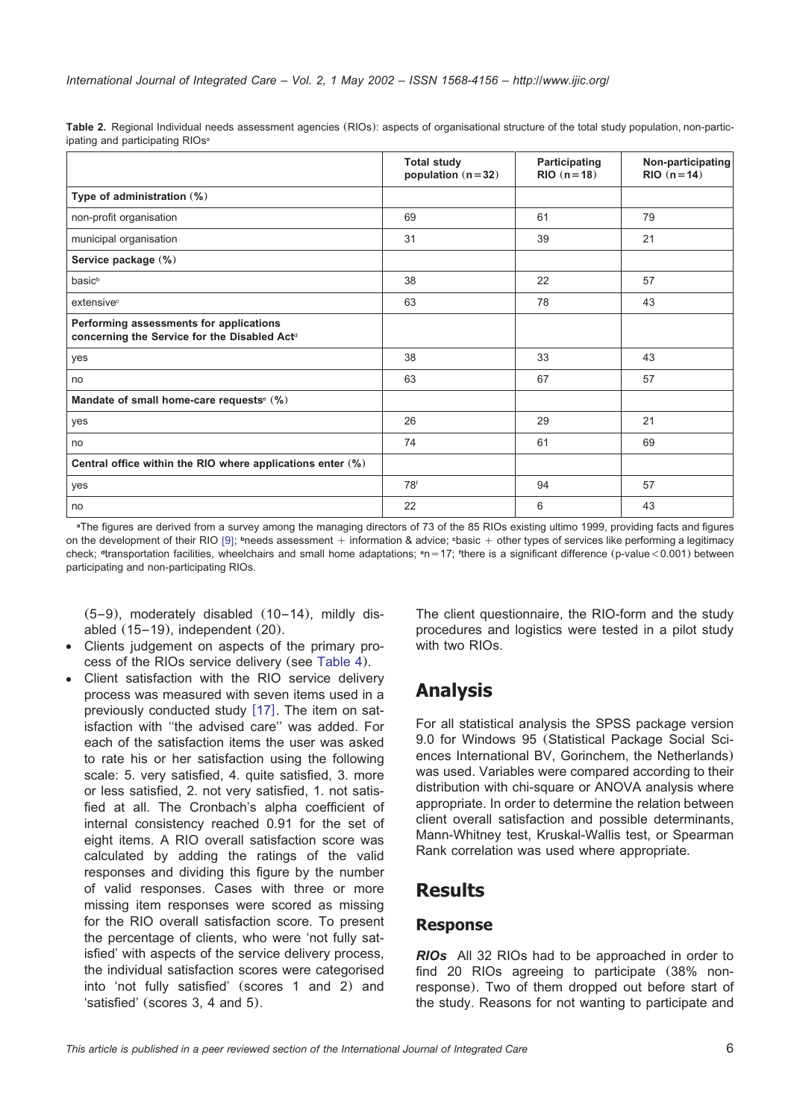|                                                                                         | <b>Total study</b><br>population $(n=32)$ | Participating<br>$RIO (n=18)$ | Non-participating<br>$RIO (n=14)$ |
|-----------------------------------------------------------------------------------------|-------------------------------------------|-------------------------------|-----------------------------------|
| Type of administration (%)                                                              |                                           |                               |                                   |
| non-profit organisation                                                                 | 69                                        | 61                            | 79                                |
| municipal organisation                                                                  | 31                                        | 39                            | 21                                |
| Service package (%)                                                                     |                                           |                               |                                   |
| basic <sup>b</sup>                                                                      | 38                                        | 22                            | 57                                |
| extensive <sup>c</sup>                                                                  | 63                                        | 78                            | 43                                |
| Performing assessments for applications<br>concerning the Service for the Disabled Actd |                                           |                               |                                   |
| yes                                                                                     | 38                                        | 33                            | 43                                |
| no                                                                                      | 63                                        | 67                            | 57                                |
| Mandate of small home-care requests <sup>e (%)</sup>                                    |                                           |                               |                                   |
| yes                                                                                     | 26                                        | 29                            | 21                                |
| no                                                                                      | 74                                        | 61                            | 69                                |
| Central office within the RIO where applications enter (%)                              |                                           |                               |                                   |
| yes                                                                                     | 78f                                       | 94                            | 57                                |
| no                                                                                      | 22                                        | 6                             | 43                                |

<span id="page-5-0"></span>**Table 2.** Regional Individual needs assessment agencies (RIOs): aspects of organisational structure of the total study population, non-participating and participating RIOs<sup>a</sup>

<sup>a</sup>The figures are derived from a survey among the managing directors of 73 of the 85 RIOs existing ultimo 1999, providing facts and figures on the development of their RIO [[9](#page-13-0)]; <sup>b</sup>needs assessment + information & advice; *basic + other types of services like performing a legitimacy* check; <sup>a</sup>transportation facilities, wheelchairs and small home adaptations; <sup>e</sup>n = 17; <sup>\*</sup> there is a significant difference (p-value<0.001) between participating and non-participating RIOs.

(5–9), moderately disabled (10–14), mildly disabled (15–19), independent (20).

- Clients judgement on aspects of the primary process of the RIOs service delivery (see [Table 4](#page-9-0)).
- Client satisfaction with the RIO service delivery process was measured with seven items used in a previously conducted study  $[17]$  $[17]$  $[17]$ . The item on satisfaction with ''the advised care'' was added. For each of the satisfaction items the user was asked to rate his or her satisfaction using the following scale: 5. very satisfied, 4. quite satisfied, 3. more or less satisfied, 2. not very satisfied, 1. not satisfied at all. The Cronbach's alpha coefficient of internal consistency reached 0.91 for the set of eight items. A RIO overall satisfaction score was calculated by adding the ratings of the valid responses and dividing this figure by the number of valid responses. Cases with three or more missing item responses were scored as missing for the RIO overall satisfaction score. To present the percentage of clients, who were 'not fully satisfied' with aspects of the service delivery process, the individual satisfaction scores were categorised into 'not fully satisfied' (scores 1 and 2) and 'satisfied' (scores 3, 4 and 5).

The client questionnaire, the RIO-form and the study procedures and logistics were tested in a pilot study with two RIOs.

## **Analysis**

For all statistical analysis the SPSS package version 9.0 for Windows 95 (Statistical Package Social Sciences International BV, Gorinchem, the Netherlands) was used. Variables were compared according to their distribution with chi-square or ANOVA analysis where appropriate. In order to determine the relation between client overall satisfaction and possible determinants, Mann-Whitney test, Kruskal-Wallis test, or Spearman Rank correlation was used where appropriate.

### **Results**

#### **Response**

*RIOs* All 32 RIOs had to be approached in order to find 20 RIOs agreeing to participate (38% nonresponse). Two of them dropped out before start of the study. Reasons for not wanting to participate and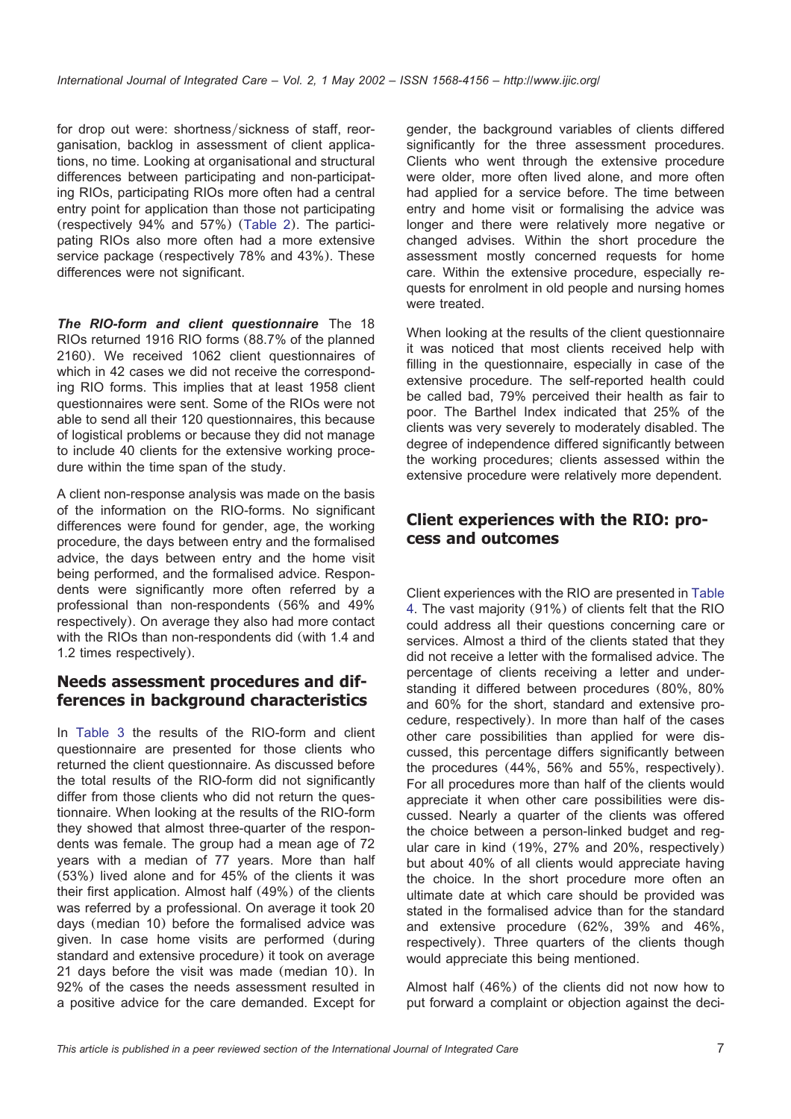for drop out were: shortness/sickness of staff, reorganisation, backlog in assessment of client applications, no time. Looking at organisational and structural differences between participating and non-participating RIOs, participating RIOs more often had a central entry point for application than those not participating (respectively 94% and 57%) ([Table 2](#page-5-0)). The participating RIOs also more often had a more extensive service package (respectively 78% and 43%). These differences were not significant.

*The RIO-form and client questionnaire* The 18 RIOs returned 1916 RIO forms (88.7% of the planned 2160). We received 1062 client questionnaires of which in 42 cases we did not receive the corresponding RIO forms. This implies that at least 1958 client questionnaires were sent. Some of the RIOs were not able to send all their 120 questionnaires, this because of logistical problems or because they did not manage to include 40 clients for the extensive working procedure within the time span of the study.

A client non-response analysis was made on the basis of the information on the RIO-forms. No significant differences were found for gender, age, the working procedure, the days between entry and the formalised advice, the days between entry and the home visit being performed, and the formalised advice. Respondents were significantly more often referred by a professional than non-respondents (56% and 49% respectively). On average they also had more contact with the RIOs than non-respondents did (with 1.4 and 1.2 times respectively).

### **Needs assessment procedures and differences in background characteristics**

In [Table 3](#page-7-0) the results of the RIO-form and client questionnaire are presented for those clients who returned the client questionnaire. As discussed before the total results of the RIO-form did not significantly differ from those clients who did not return the questionnaire. When looking at the results of the RIO-form they showed that almost three-quarter of the respondents was female. The group had a mean age of 72 years with a median of 77 years. More than half (53%) lived alone and for 45% of the clients it was their first application. Almost half (49%) of the clients was referred by a professional. On average it took 20 days (median 10) before the formalised advice was given. In case home visits are performed (during standard and extensive procedure) it took on average 21 days before the visit was made (median 10). In 92% of the cases the needs assessment resulted in a positive advice for the care demanded. Except for

gender, the background variables of clients differed significantly for the three assessment procedures. Clients who went through the extensive procedure were older, more often lived alone, and more often had applied for a service before. The time between entry and home visit or formalising the advice was longer and there were relatively more negative or changed advises. Within the short procedure the assessment mostly concerned requests for home care. Within the extensive procedure, especially requests for enrolment in old people and nursing homes were treated.

When looking at the results of the client questionnaire it was noticed that most clients received help with filling in the questionnaire, especially in case of the extensive procedure. The self-reported health could be called bad, 79% perceived their health as fair to poor. The Barthel Index indicated that 25% of the clients was very severely to moderately disabled. The degree of independence differed significantly between the working procedures; clients assessed within the extensive procedure were relatively more dependent.

### **Client experiences with the RIO: process and outcomes**

Client experiences with the RIO are presented in [Table](#page-9-0) [4.](#page-9-0) The vast majority (91%) of clients felt that the RIO could address all their questions concerning care or services. Almost a third of the clients stated that they did not receive a letter with the formalised advice. The percentage of clients receiving a letter and understanding it differed between procedures (80%, 80% and 60% for the short, standard and extensive procedure, respectively). In more than half of the cases other care possibilities than applied for were discussed, this percentage differs significantly between the procedures (44%, 56% and 55%, respectively). For all procedures more than half of the clients would appreciate it when other care possibilities were discussed. Nearly a quarter of the clients was offered the choice between a person-linked budget and regular care in kind (19%, 27% and 20%, respectively) but about 40% of all clients would appreciate having the choice. In the short procedure more often an ultimate date at which care should be provided was stated in the formalised advice than for the standard and extensive procedure (62%, 39% and 46%, respectively). Three quarters of the clients though would appreciate this being mentioned.

Almost half (46%) of the clients did not now how to put forward a complaint or objection against the deci-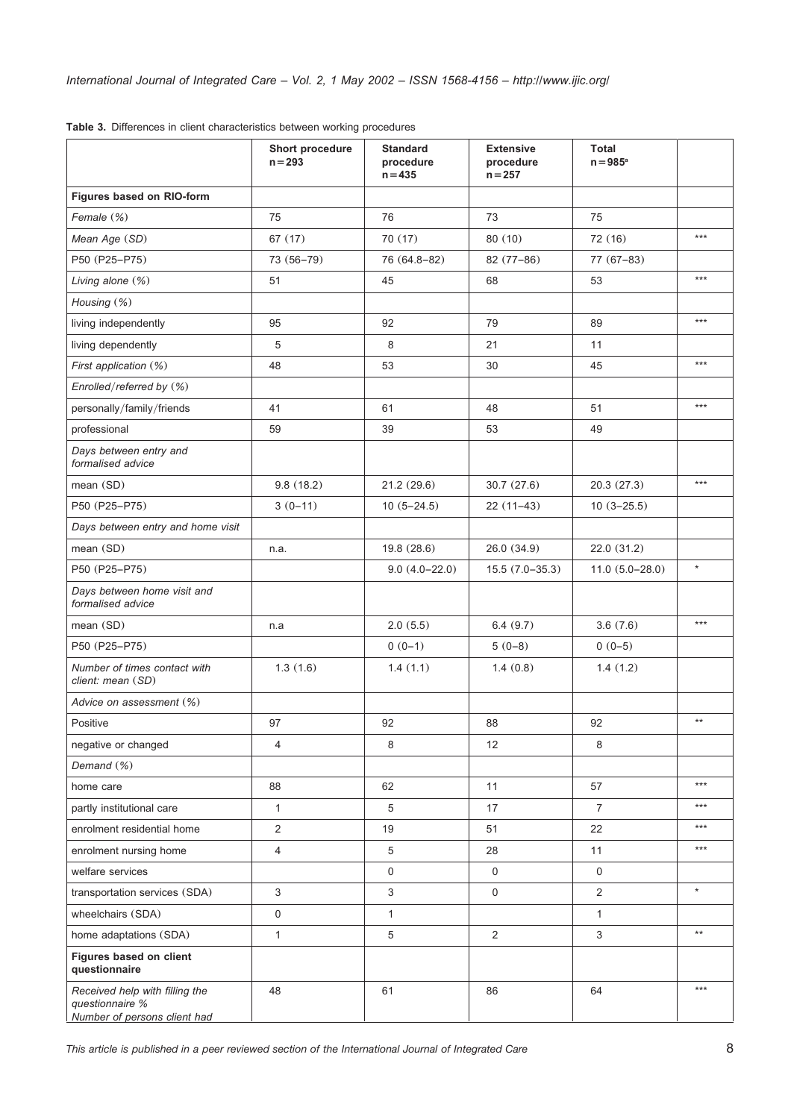|                                                                                   | Short procedure<br>$n = 293$ | <b>Standard</b><br>procedure<br>$n = 435$ | <b>Extensive</b><br>procedure<br>$n = 257$ | <b>Total</b><br>$n = 985^{\circ}$ |                 |
|-----------------------------------------------------------------------------------|------------------------------|-------------------------------------------|--------------------------------------------|-----------------------------------|-----------------|
| Figures based on RIO-form                                                         |                              |                                           |                                            |                                   |                 |
| Female (%)                                                                        | 75                           | 76                                        | 73                                         | 75                                |                 |
| Mean Age (SD)                                                                     | 67(17)                       | 70 (17)                                   | 80(10)                                     | 72 (16)                           | $***$           |
| P50 (P25-P75)                                                                     | 73 (56-79)                   | 76 (64.8-82)                              | 82 (77-86)                                 | $77(67-83)$                       |                 |
| Living alone (%)                                                                  | 51                           | 45                                        | 68                                         | 53                                | $***$           |
| Housing (%)                                                                       |                              |                                           |                                            |                                   |                 |
| living independently                                                              | 95                           | 92                                        | 79                                         | 89                                | $***$           |
| living dependently                                                                | 5                            | 8                                         | 21                                         | 11                                |                 |
| First application (%)                                                             | 48                           | 53                                        | 30                                         | 45                                | $***$           |
| Enrolled/referred by (%)                                                          |                              |                                           |                                            |                                   |                 |
| personally/family/friends                                                         | 41                           | 61                                        | 48                                         | 51                                | $***$           |
| professional                                                                      | 59                           | 39                                        | 53                                         | 49                                |                 |
| Days between entry and<br>formalised advice                                       |                              |                                           |                                            |                                   |                 |
| mean (SD)                                                                         | 9.8(18.2)                    | 21.2(29.6)                                | 30.7(27.6)                                 | 20.3 (27.3)                       | $***$           |
| P50 (P25-P75)                                                                     | $3(0-11)$                    | $10(5 - 24.5)$                            | $22(11-43)$                                | $10(3 - 25.5)$                    |                 |
| Days between entry and home visit                                                 |                              |                                           |                                            |                                   |                 |
| mean (SD)                                                                         | n.a.                         | 19.8 (28.6)                               | 26.0 (34.9)                                | 22.0 (31.2)                       |                 |
| P50 (P25-P75)                                                                     |                              | $9.0(4.0-22.0)$                           | $15.5(7.0-35.3)$                           | $11.0(5.0-28.0)$                  | $\star$         |
| Days between home visit and<br>formalised advice                                  |                              |                                           |                                            |                                   |                 |
| mean (SD)                                                                         | n.a                          | 2.0(5.5)                                  | 6.4(9.7)                                   | 3.6(7.6)                          | $***$           |
| P50 (P25-P75)                                                                     |                              | $0(0-1)$                                  | $5(0-8)$                                   | $0(0-5)$                          |                 |
| Number of times contact with<br>client: mean (SD)                                 | 1.3(1.6)                     | 1.4(1.1)                                  | 1.4(0.8)                                   | 1.4(1.2)                          |                 |
| Advice on assessment (%)                                                          |                              |                                           |                                            |                                   |                 |
| Positive                                                                          | 97                           | 92                                        | 88                                         | 92                                | $***$           |
| negative or changed                                                               | 4                            | 8                                         | 12                                         | 8                                 |                 |
| Demand (%)                                                                        |                              |                                           |                                            |                                   |                 |
| home care                                                                         | 88                           | 62                                        | 11                                         | 57                                | $***$           |
| partly institutional care                                                         | $\mathbf{1}$                 | 5                                         | 17                                         | $\overline{7}$                    | $***$           |
| enrolment residential home                                                        | $\overline{2}$               | 19                                        | 51                                         | 22                                | $***$           |
| enrolment nursing home                                                            | 4                            | 5                                         | 28                                         | 11                                | $***$           |
| welfare services                                                                  |                              | $\mathsf{O}\xspace$                       | 0                                          | $\Omega$                          |                 |
| transportation services (SDA)                                                     | 3                            | $\sqrt{3}$                                | $\mathsf{O}\xspace$                        | 2                                 | $\star$         |
| wheelchairs (SDA)                                                                 | 0                            | $\mathbf{1}$                              |                                            | $\mathbf{1}$                      |                 |
| home adaptations (SDA)                                                            | $\mathbf{1}$                 | $5\,$                                     | 2                                          | 3                                 | $^{\star\star}$ |
| Figures based on client<br>questionnaire                                          |                              |                                           |                                            |                                   |                 |
| Received help with filling the<br>questionnaire %<br>Number of persons client had | 48                           | 61                                        | 86                                         | 64                                | $***$           |

<span id="page-7-0"></span>**Table 3.** Differences in client characteristics between working procedures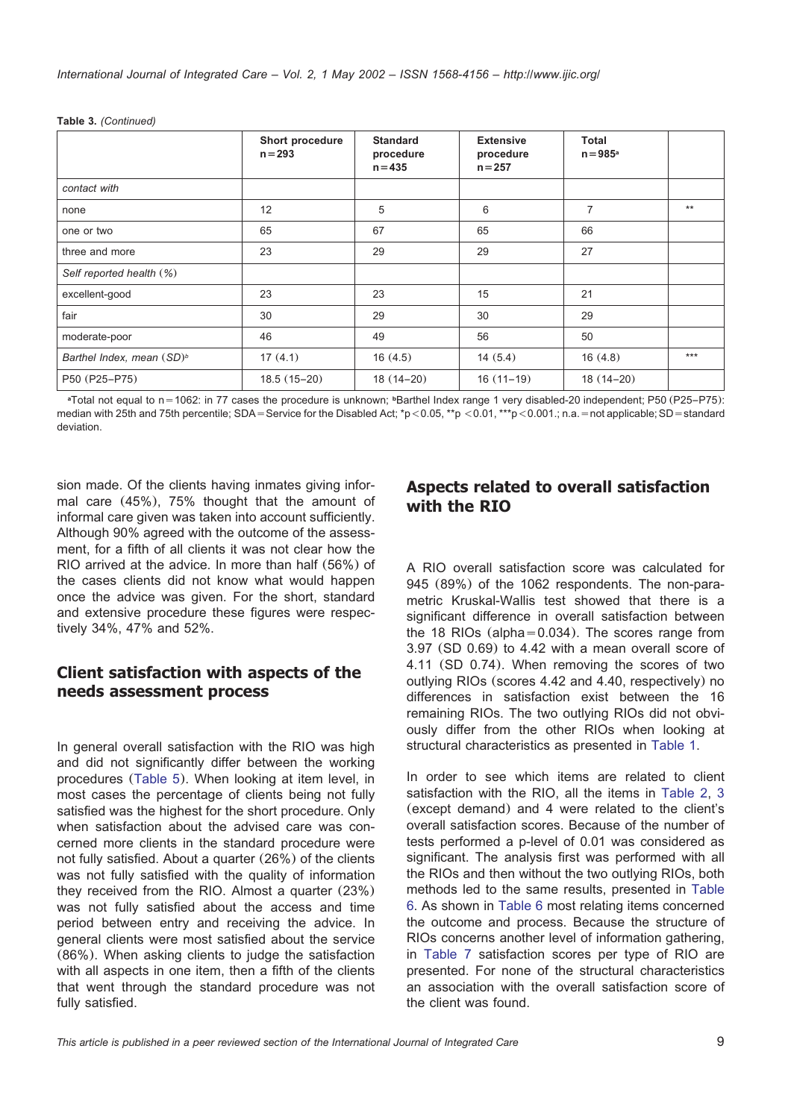|                                       | Short procedure<br>$n = 293$ | <b>Standard</b><br>procedure<br>$n = 435$ | <b>Extensive</b><br>procedure<br>$n = 257$ | <b>Total</b><br>$n = 985^{\circ}$ |       |
|---------------------------------------|------------------------------|-------------------------------------------|--------------------------------------------|-----------------------------------|-------|
| contact with                          |                              |                                           |                                            |                                   |       |
| none                                  | 12                           | 5                                         | 6                                          | $\overline{7}$                    | $**$  |
| one or two                            | 65                           | 67                                        | 65                                         | 66                                |       |
| three and more                        | 23                           | 29                                        | 29                                         | 27                                |       |
| Self reported health (%)              |                              |                                           |                                            |                                   |       |
| excellent-good                        | 23                           | 23                                        | 15                                         | 21                                |       |
| fair                                  | 30                           | 29                                        | 30                                         | 29                                |       |
| moderate-poor                         | 46                           | 49                                        | 56                                         | 50                                |       |
| Barthel Index, mean (SD) <sup>b</sup> | 17(4.1)                      | 16(4.5)                                   | 14(5.4)                                    | 16(4.8)                           | $***$ |
| P50 (P25-P75)                         | $18.5(15-20)$                | $18(14-20)$                               | $16(11-19)$                                | $18(14-20)$                       |       |

**Table 3.** *(Continued)*

**<sup>a</sup>**Total not equal to ns1062: in 77 cases the procedure is unknown; **<sup>b</sup>**Barthel Index range 1 very disabled-20 independent; P50 (P25–P75): median with 25th and 75th percentile; SDA = Service for the Disabled Act; \*p < 0.05, \*\*p < 0.01, \*\*\*p < 0.001.; n.a. = not applicable; SD = standard deviation.

sion made. Of the clients having inmates giving informal care (45%), 75% thought that the amount of informal care given was taken into account sufficiently. Although 90% agreed with the outcome of the assessment, for a fifth of all clients it was not clear how the RIO arrived at the advice. In more than half (56%) of the cases clients did not know what would happen once the advice was given. For the short, standard and extensive procedure these figures were respectively 34%, 47% and 52%.

### **Client satisfaction with aspects of the needs assessment process**

In general overall satisfaction with the RIO was high and did not significantly differ between the working procedures ([Table 5](#page-10-0)). When looking at item level, in most cases the percentage of clients being not fully satisfied was the highest for the short procedure. Only when satisfaction about the advised care was concerned more clients in the standard procedure were not fully satisfied. About a quarter (26%) of the clients was not fully satisfied with the quality of information they received from the RIO. Almost a quarter (23%) was not fully satisfied about the access and time period between entry and receiving the advice. In general clients were most satisfied about the service (86%). When asking clients to judge the satisfaction with all aspects in one item, then a fifth of the clients that went through the standard procedure was not fully satisfied.

### **Aspects related to overall satisfaction with the RIO**

A RIO overall satisfaction score was calculated for 945 (89%) of the 1062 respondents. The non-parametric Kruskal-Wallis test showed that there is a significant difference in overall satisfaction between the 18 RIOs (alpha=0.034). The scores range from 3.97 (SD 0.69) to 4.42 with a mean overall score of 4.11 (SD 0.74). When removing the scores of two outlying RIOs (scores 4.42 and 4.40, respectively) no differences in satisfaction exist between the 16 remaining RIOs. The two outlying RIOs did not obviously differ from the other RIOs when looking at structural characteristics as presented in [Table 1.](#page-3-0)

In order to see which items are related to client satisfaction with the RIO, all the items in [Table 2,](#page-5-0) [3](#page-7-0) (except demand) and 4 were related to the client's overall satisfaction scores. Because of the number of tests performed a p-level of 0.01 was considered as significant. The analysis first was performed with all the RIOs and then without the two outlying RIOs, both methods led to the same results, presented in [Table](#page-11-0) [6.](#page-11-0) As shown in [Table 6](#page-11-0) most relating items concerned the outcome and process. Because the structure of RIOs concerns another level of information gathering, in [Table 7](#page-12-0) satisfaction scores per type of RIO are presented. For none of the structural characteristics an association with the overall satisfaction score of the client was found.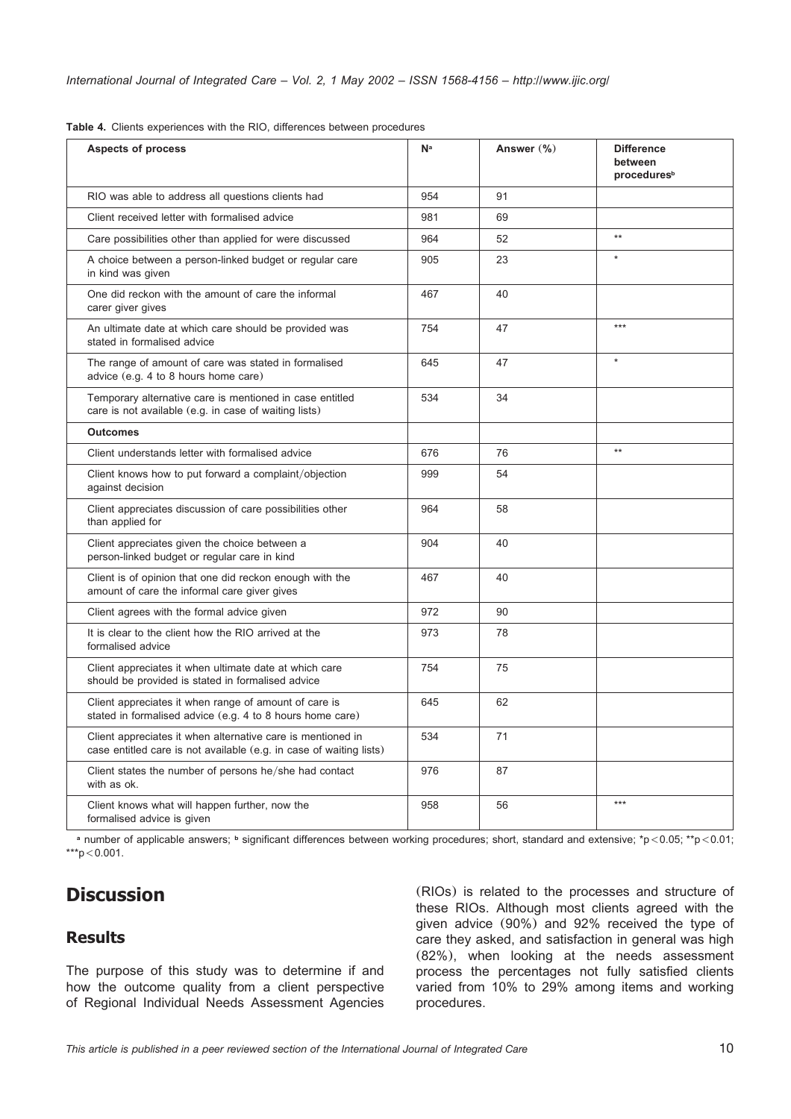| Aspects of process                                                                                                                 | Na  | Answer $(\%)$ | <b>Difference</b><br>between<br>procedures <sup>b</sup> |
|------------------------------------------------------------------------------------------------------------------------------------|-----|---------------|---------------------------------------------------------|
| RIO was able to address all questions clients had                                                                                  | 954 | 91            |                                                         |
| Client received letter with formalised advice                                                                                      | 981 | 69            |                                                         |
| Care possibilities other than applied for were discussed                                                                           | 964 | 52            | $\star\star$                                            |
| A choice between a person-linked budget or regular care<br>in kind was given                                                       | 905 | 23            | $\star$                                                 |
| One did reckon with the amount of care the informal<br>carer giver gives                                                           | 467 | 40            |                                                         |
| An ultimate date at which care should be provided was<br>stated in formalised advice                                               | 754 | 47            | $***$                                                   |
| The range of amount of care was stated in formalised<br>advice (e.g. 4 to 8 hours home care)                                       | 645 | 47            | $\star$                                                 |
| Temporary alternative care is mentioned in case entitled<br>care is not available (e.g. in case of waiting lists)                  | 534 | 34            |                                                         |
| <b>Outcomes</b>                                                                                                                    |     |               |                                                         |
| Client understands letter with formalised advice                                                                                   | 676 | 76            | $\star\star$                                            |
| Client knows how to put forward a complaint/objection<br>against decision                                                          | 999 | 54            |                                                         |
| Client appreciates discussion of care possibilities other<br>than applied for                                                      | 964 | 58            |                                                         |
| Client appreciates given the choice between a<br>person-linked budget or regular care in kind                                      | 904 | 40            |                                                         |
| Client is of opinion that one did reckon enough with the<br>amount of care the informal care giver gives                           | 467 | 40            |                                                         |
| Client agrees with the formal advice given                                                                                         | 972 | 90            |                                                         |
| It is clear to the client how the RIO arrived at the<br>formalised advice                                                          | 973 | 78            |                                                         |
| Client appreciates it when ultimate date at which care<br>should be provided is stated in formalised advice                        | 754 | 75            |                                                         |
| Client appreciates it when range of amount of care is<br>stated in formalised advice (e.g. 4 to 8 hours home care)                 | 645 | 62            |                                                         |
| Client appreciates it when alternative care is mentioned in<br>case entitled care is not available (e.g. in case of waiting lists) | 534 | 71            |                                                         |
| Client states the number of persons he/she had contact<br>with as ok.                                                              | 976 | 87            |                                                         |
| Client knows what will happen further, now the<br>formalised advice is given                                                       | 958 | 56            | $***$                                                   |

<span id="page-9-0"></span>**Table 4.** Clients experiences with the RIO, differences between procedures

**<sup>a</sup>** number of applicable answers; **<sup>b</sup>** significant differences between working procedures; short, standard and extensive; \*p-0.05; \*\*p-0.01;  $***p<0.001$ .

## **Discussion**

### **Results**

The purpose of this study was to determine if and how the outcome quality from a client perspective of Regional Individual Needs Assessment Agencies

(RIOs) is related to the processes and structure of these RIOs. Although most clients agreed with the given advice (90%) and 92% received the type of care they asked, and satisfaction in general was high (82%), when looking at the needs assessment process the percentages not fully satisfied clients varied from 10% to 29% among items and working procedures.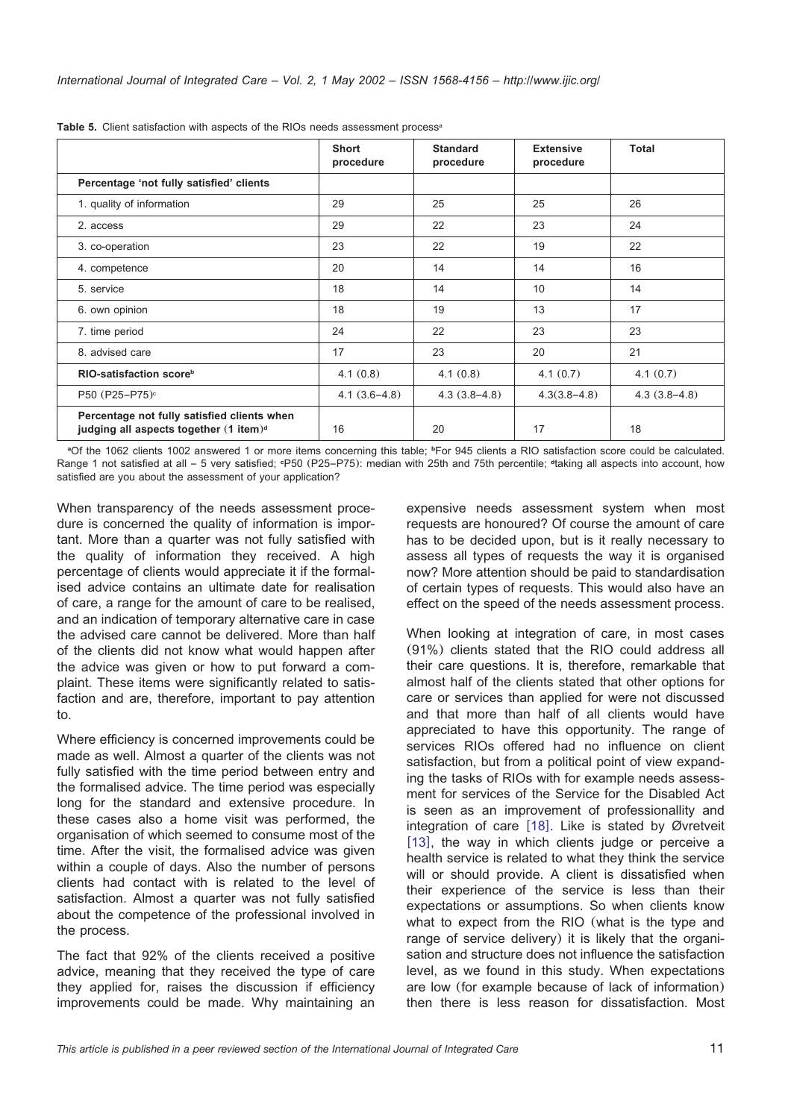|                                                                                                     | <b>Short</b><br>procedure | <b>Standard</b><br>procedure | <b>Extensive</b><br>procedure | Total          |
|-----------------------------------------------------------------------------------------------------|---------------------------|------------------------------|-------------------------------|----------------|
| Percentage 'not fully satisfied' clients                                                            |                           |                              |                               |                |
| 1. quality of information                                                                           | 29                        | 25                           | 25                            | 26             |
| 2. access                                                                                           | 29                        | 22                           | 23                            | 24             |
| 3. co-operation                                                                                     | 23                        | 22                           | 19                            | 22             |
| 4. competence                                                                                       | 20                        | 14                           | 14                            | 16             |
| 5. service                                                                                          | 18                        | 14                           | 10                            | 14             |
| 6. own opinion                                                                                      | 18                        | 19                           | 13                            | 17             |
| 7. time period                                                                                      | 24                        | 22                           | 23                            | 23             |
| 8. advised care                                                                                     | 17                        | 23                           | 20                            | 21             |
| RIO-satisfaction score <sup>b</sup>                                                                 | 4.1(0.8)                  | 4.1(0.8)                     | 4.1(0.7)                      | 4.1(0.7)       |
| P50 (P25-P75) <sup>c</sup>                                                                          | $4.1(3.6-4.8)$            | $4.3(3.8-4.8)$               | $4.3(3.8 - 4.8)$              | $4.3(3.8-4.8)$ |
| Percentage not fully satisfied clients when<br>judging all aspects together $(1$ item) <sup>d</sup> | 16                        | 20                           | 17                            | 18             |

<span id="page-10-0"></span>**Table 5.** Client satisfaction with aspects of the RIOs needs assessment process<sup>a</sup>

**<sup>a</sup>**Of the 1062 clients 1002 answered 1 or more items concerning this table; **<sup>b</sup>**For 945 clients a RIO satisfaction score could be calculated. Range 1 not satisfied at all – 5 very satisfied; **<sup>c</sup>**P50 (P25–P75): median with 25th and 75th percentile; **<sup>d</sup>**taking all aspects into account, how satisfied are you about the assessment of your application?

When transparency of the needs assessment procedure is concerned the quality of information is important. More than a quarter was not fully satisfied with the quality of information they received. A high percentage of clients would appreciate it if the formalised advice contains an ultimate date for realisation of care, a range for the amount of care to be realised, and an indication of temporary alternative care in case the advised care cannot be delivered. More than half of the clients did not know what would happen after the advice was given or how to put forward a complaint. These items were significantly related to satisfaction and are, therefore, important to pay attention to.

Where efficiency is concerned improvements could be made as well. Almost a quarter of the clients was not fully satisfied with the time period between entry and the formalised advice. The time period was especially long for the standard and extensive procedure. In these cases also a home visit was performed, the organisation of which seemed to consume most of the time. After the visit, the formalised advice was given within a couple of days. Also the number of persons clients had contact with is related to the level of satisfaction. Almost a quarter was not fully satisfied about the competence of the professional involved in the process.

The fact that 92% of the clients received a positive advice, meaning that they received the type of care they applied for, raises the discussion if efficiency improvements could be made. Why maintaining an expensive needs assessment system when most requests are honoured? Of course the amount of care has to be decided upon, but is it really necessary to assess all types of requests the way it is organised now? More attention should be paid to standardisation of certain types of requests. This would also have an effect on the speed of the needs assessment process.

When looking at integration of care, in most cases (91%) clients stated that the RIO could address all their care questions. It is, therefore, remarkable that almost half of the clients stated that other options for care or services than applied for were not discussed and that more than half of all clients would have appreciated to have this opportunity. The range of services RIOs offered had no influence on client satisfaction, but from a political point of view expanding the tasks of RIOs with for example needs assessment for services of the Service for the Disabled Act is seen as an improvement of professionallity and integration of care  $[18]$  $[18]$  $[18]$ . Like is stated by Øvretveit [[13](#page-13-0)], the way in which clients judge or perceive a health service is related to what they think the service will or should provide. A client is dissatisfied when their experience of the service is less than their expectations or assumptions. So when clients know what to expect from the RIO (what is the type and range of service delivery) it is likely that the organisation and structure does not influence the satisfaction level, as we found in this study. When expectations are low (for example because of lack of information) then there is less reason for dissatisfaction. Most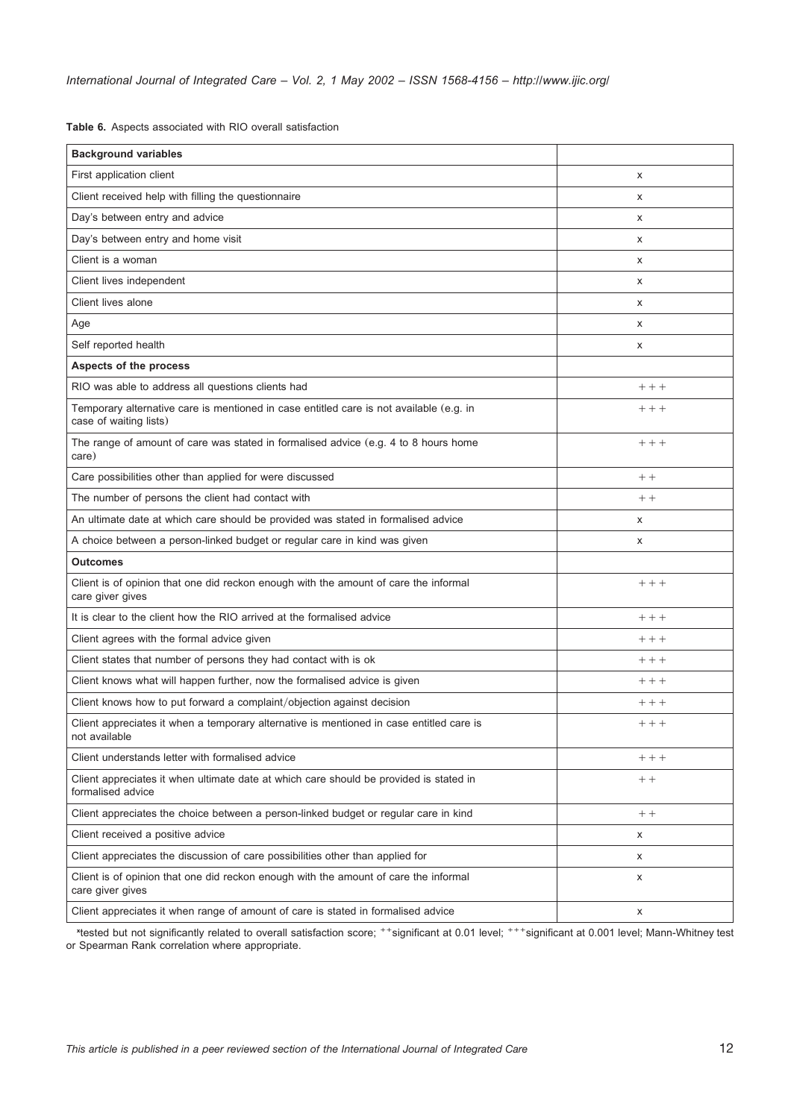<span id="page-11-0"></span>**Table 6.** Aspects associated with RIO overall satisfaction

| <b>Background variables</b>                                                                                       |        |
|-------------------------------------------------------------------------------------------------------------------|--------|
| First application client                                                                                          | X      |
| Client received help with filling the questionnaire                                                               | X      |
| Day's between entry and advice                                                                                    | x      |
| Day's between entry and home visit                                                                                | X      |
| Client is a woman                                                                                                 | X      |
| Client lives independent                                                                                          | X      |
| Client lives alone                                                                                                | X      |
| Age                                                                                                               | X      |
| Self reported health                                                                                              | x      |
| Aspects of the process                                                                                            |        |
| RIO was able to address all questions clients had                                                                 | $++$   |
| Temporary alternative care is mentioned in case entitled care is not available (e.g. in<br>case of waiting lists) | $++$   |
| The range of amount of care was stated in formalised advice (e.g. 4 to 8 hours home<br>care)                      | $++$   |
| Care possibilities other than applied for were discussed                                                          | $++$   |
| The number of persons the client had contact with                                                                 | $++$   |
| An ultimate date at which care should be provided was stated in formalised advice                                 | х      |
| A choice between a person-linked budget or regular care in kind was given                                         | X      |
| <b>Outcomes</b>                                                                                                   |        |
| Client is of opinion that one did reckon enough with the amount of care the informal<br>care giver gives          | $++$   |
| It is clear to the client how the RIO arrived at the formalised advice                                            | $++$   |
| Client agrees with the formal advice given                                                                        | $++ +$ |
| Client states that number of persons they had contact with is ok                                                  | $++$   |
| Client knows what will happen further, now the formalised advice is given                                         | $++ +$ |
| Client knows how to put forward a complaint/objection against decision                                            | $++$   |
| Client appreciates it when a temporary alternative is mentioned in case entitled care is<br>not available         | $++$   |
| Client understands letter with formalised advice                                                                  | $++$   |
| Client appreciates it when ultimate date at which care should be provided is stated in<br>formalised advice       | $++$   |
| Client appreciates the choice between a person-linked budget or regular care in kind                              | $++$   |
| Client received a positive advice                                                                                 | х      |
| Client appreciates the discussion of care possibilities other than applied for                                    |        |
|                                                                                                                   | х      |
| Client is of opinion that one did reckon enough with the amount of care the informal<br>care giver gives          | x      |

*xtested but not significantly related to overall satisfaction score; <sup>++</sup>significant at 0.01 level; <sup>+++</sup>significant at 0.001 level; Mann-Whitney test* or Spearman Rank correlation where appropriate.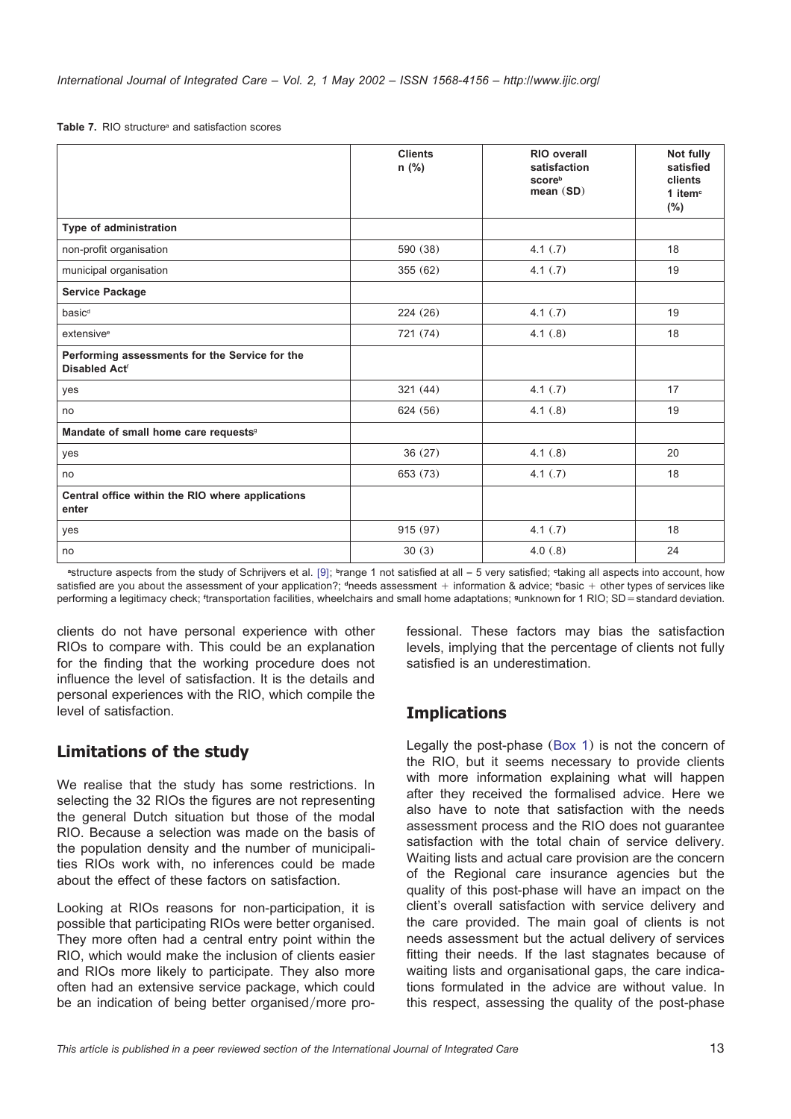<span id="page-12-0"></span>Table 7. RIO structure<sup>a</sup> and satisfaction scores

|                                                                                   | <b>Clients</b><br>n (%) | <b>RIO</b> overall<br>satisfaction<br>scoreb<br>mean(SD) | Not fully<br>satisfied<br>clients<br>1 item <sup>c</sup><br>(%) |
|-----------------------------------------------------------------------------------|-------------------------|----------------------------------------------------------|-----------------------------------------------------------------|
| Type of administration                                                            |                         |                                                          |                                                                 |
| non-profit organisation                                                           | 590 (38)                | 4.1(.7)                                                  | 18                                                              |
| municipal organisation                                                            | 355(62)                 | 4.1(.7)                                                  | 19                                                              |
| <b>Service Package</b>                                                            |                         |                                                          |                                                                 |
| basic <sup>d</sup>                                                                | 224(26)                 | 4.1(.7)                                                  | 19                                                              |
| extensive <sup>e</sup>                                                            | 721 (74)                | 4.1(.8)                                                  | 18                                                              |
| Performing assessments for the Service for the<br><b>Disabled Act<sup>®</sup></b> |                         |                                                          |                                                                 |
| yes                                                                               | 321(44)                 | 4.1(.7)                                                  | 17                                                              |
| no                                                                                | 624 (56)                | 4.1(.8)                                                  | 19                                                              |
| Mandate of small home care requests <sup>9</sup>                                  |                         |                                                          |                                                                 |
| yes                                                                               | 36(27)                  | 4.1(.8)                                                  | 20                                                              |
| no                                                                                | 653 (73)                | 4.1(.7)                                                  | 18                                                              |
| Central office within the RIO where applications<br>enter                         |                         |                                                          |                                                                 |
| yes                                                                               | 915 (97)                | 4.1(.7)                                                  | 18                                                              |
| no                                                                                | 30(3)                   | 4.0(.8)                                                  | 24                                                              |

<sup>a</sup>structure aspects from the study of Schrijvers et al. [[9](#page-13-0)]; <sup>b</sup>range 1 not satisfied at all - 5 very satisfied; <sup>et</sup>aking all aspects into account, how satisfied are you about the assessment of your application?; dneeds assessment + information & advice; *basic + other types of services like* performing a legitimacy check; <sup>f</sup>transportation facilities, wheelchairs and small home adaptations; <sup>g</sup>unknown for 1 RIO; SD = standard deviation.

clients do not have personal experience with other RIOs to compare with. This could be an explanation for the finding that the working procedure does not influence the level of satisfaction. It is the details and personal experiences with the RIO, which compile the level of satisfaction.

### **Limitations of the study**

We realise that the study has some restrictions. In selecting the 32 RIOs the figures are not representing the general Dutch situation but those of the modal RIO. Because a selection was made on the basis of the population density and the number of municipalities RIOs work with, no inferences could be made about the effect of these factors on satisfaction.

Looking at RIOs reasons for non-participation, it is possible that participating RIOs were better organised. They more often had a central entry point within the RIO, which would make the inclusion of clients easier and RIOs more likely to participate. They also more often had an extensive service package, which could be an indication of being better organised/more professional. These factors may bias the satisfaction levels, implying that the percentage of clients not fully satisfied is an underestimation.

### **Implications**

Legally the post-phase ([Box 1](#page-2-0)) is not the concern of the RIO, but it seems necessary to provide clients with more information explaining what will happen after they received the formalised advice. Here we also have to note that satisfaction with the needs assessment process and the RIO does not guarantee satisfaction with the total chain of service delivery. Waiting lists and actual care provision are the concern of the Regional care insurance agencies but the quality of this post-phase will have an impact on the client's overall satisfaction with service delivery and the care provided. The main goal of clients is not needs assessment but the actual delivery of services fitting their needs. If the last stagnates because of waiting lists and organisational gaps, the care indications formulated in the advice are without value. In this respect, assessing the quality of the post-phase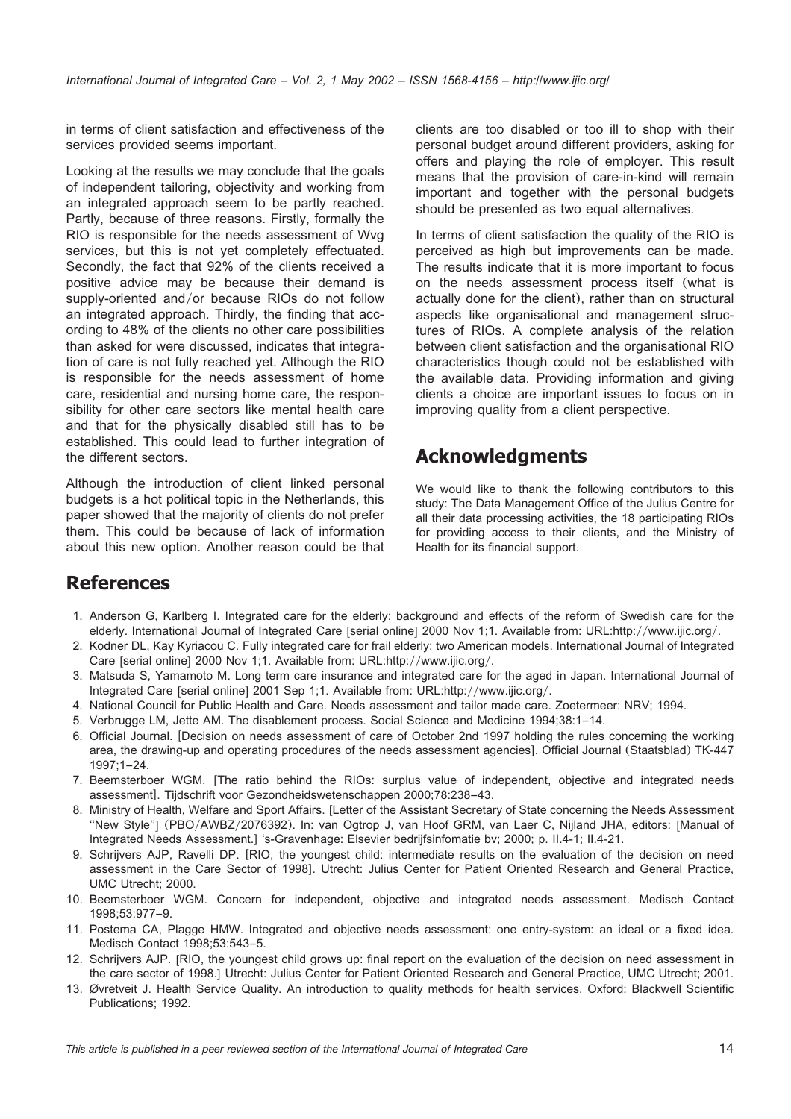<span id="page-13-0"></span>in terms of client satisfaction and effectiveness of the services provided seems important.

Looking at the results we may conclude that the goals of independent tailoring, objectivity and working from an integrated approach seem to be partly reached. Partly, because of three reasons. Firstly, formally the RIO is responsible for the needs assessment of Wvg services, but this is not yet completely effectuated. Secondly, the fact that 92% of the clients received a positive advice may be because their demand is supply-oriented and/or because RIOs do not follow an integrated approach. Thirdly, the finding that according to 48% of the clients no other care possibilities than asked for were discussed, indicates that integration of care is not fully reached yet. Although the RIO is responsible for the needs assessment of home care, residential and nursing home care, the responsibility for other care sectors like mental health care and that for the physically disabled still has to be established. This could lead to further integration of the different sectors.

Although the introduction of client linked personal budgets is a hot political topic in the Netherlands, this paper showed that the majority of clients do not prefer them. This could be because of lack of information about this new option. Another reason could be that clients are too disabled or too ill to shop with their personal budget around different providers, asking for offers and playing the role of employer. This result means that the provision of care-in-kind will remain important and together with the personal budgets should be presented as two equal alternatives.

In terms of client satisfaction the quality of the RIO is perceived as high but improvements can be made. The results indicate that it is more important to focus on the needs assessment process itself (what is actually done for the client), rather than on structural aspects like organisational and management structures of RIOs. A complete analysis of the relation between client satisfaction and the organisational RIO characteristics though could not be established with the available data. Providing information and giving clients a choice are important issues to focus on in improving quality from a client perspective.

# **Acknowledgments**

We would like to thank the following contributors to this study: The Data Management Office of the Julius Centre for all their data processing activities, the 18 participating RIOs for providing access to their clients, and the Ministry of Health for its financial support.

## **References**

- 1. Anderson G, Karlberg I. Integrated care for the elderly: background and effects of the reform of Swedish care for the elderly. International Journal of Integrated Care [serial online] 2000 Nov 1;1. Available from: URL:http://www.ijic.org/.
- 2. Kodner DL, Kay Kyriacou C. Fully integrated care for frail elderly: two American models. International Journal of Integrated Care [serial online] 2000 Nov 1;1. Available from: URL:http://www.ijic.org/.
- 3. Matsuda S, Yamamoto M. Long term care insurance and integrated care for the aged in Japan. International Journal of Integrated Care [serial online] 2001 Sep 1;1. Available from: URL:http://www.ijic.org/.
- 4. National Council for Public Health and Care. Needs assessment and tailor made care. Zoetermeer: NRV; 1994.
- 5. Verbrugge LM, Jette AM. The disablement process. Social Science and Medicine 1994;38:1–14.
- 6. Official Journal. [Decision on needs assessment of care of October 2nd 1997 holding the rules concerning the working area, the drawing-up and operating procedures of the needs assessment agencies]. Official Journal (Staatsblad) TK-447 1997;1–24.
- 7. Beemsterboer WGM. [The ratio behind the RIOs: surplus value of independent, objective and integrated needs assessmentl. Tijdschrift voor Gezondheidswetenschappen 2000:78:238–43.
- 8. Ministry of Health, Welfare and Sport Affairs. ILetter of the Assistant Secretary of State concerning the Needs Assessment "New Style"] (PBO/AWBZ/2076392). In: van Ogtrop J, van Hoof GRM, van Laer C, Nijland JHA, editors: [Manual of Integrated Needs Assessment.] 's-Gravenhage: Elsevier bedrijfsinfomatie bv; 2000; p. II.4-1; II.4-21.
- 9. Schrijvers AJP, Ravelli DP. [RIO, the youngest child: intermediate results on the evaluation of the decision on need assessment in the Care Sector of 1998]. Utrecht: Julius Center for Patient Oriented Research and General Practice, UMC Utrecht; 2000.
- 10. Beemsterboer WGM. Concern for independent, objective and integrated needs assessment. Medisch Contact 1998;53:977–9.
- 11. Postema CA, Plagge HMW. Integrated and objective needs assessment: one entry-system: an ideal or a fixed idea. Medisch Contact 1998;53:543–5.
- 12. Schrijvers AJP. [RIO, the youngest child grows up: final report on the evaluation of the decision on need assessment in the care sector of 1998.] Utrecht: Julius Center for Patient Oriented Research and General Practice, UMC Utrecht: 2001.
- 13. Øvretveit J. Health Service Quality. An introduction to quality methods for health services. Oxford: Blackwell Scientific Publications; 1992.